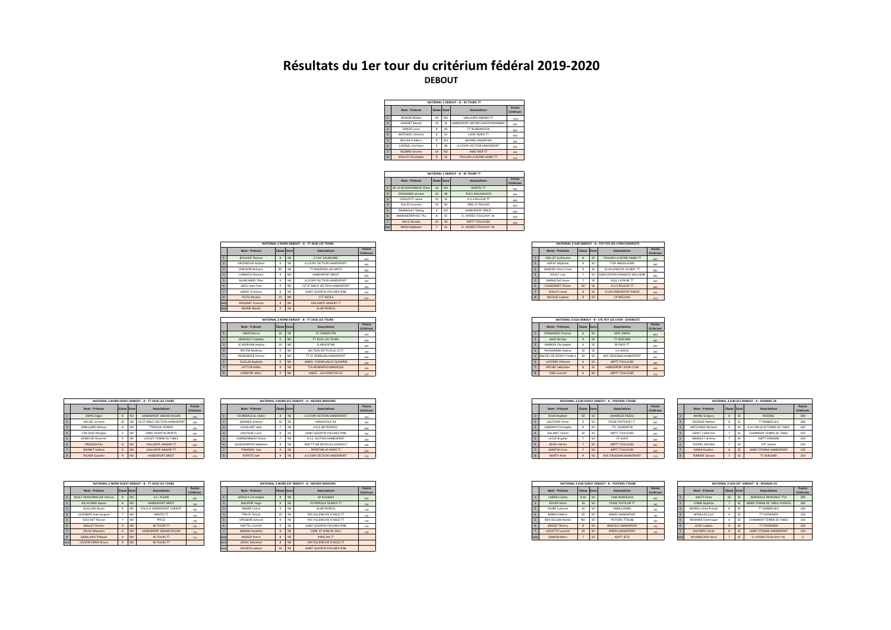## **Résultats du 1er tour du critérium fédéral 2019-2020 DEBOUT**

|                |                         |             |                 | NATIONAL 1 DEBOUT - A - 4S TOURS TT |                     |
|----------------|-------------------------|-------------|-----------------|-------------------------------------|---------------------|
|                | Nom - Prénom            | Classe Zone |                 | Associations                        | Points<br>Critérium |
|                | <b>ROHEAS Matéo</b>     | 10          | NO.             | VAILLANTE ANGERS TT                 | 1000                |
|                | <b>GRASSET Report</b>   | 10          | SE              | HANDISPORT ANTIBES MEDITERRANNEE    | 980                 |
| $\overline{a}$ | DIDIER Lucas            | 9           | SO <sub>1</sub> | TT PLANSANCOIS                      | 960                 |
|                | <b>RERTHIER Clément</b> | 8           | <b>SF</b>       | LOIRE NORD TT                       | 950                 |
| k,             | <b>RELLAIS Frédéric</b> | 9           | NO              | <b>RAYARD ARGENTAN</b>              | 950                 |
| <b>G</b>       | CHESNEL Christian       | ٩           | <b>NF</b>       | A SEVRY SECTION HANDISPORT          | 950                 |
| ٠              | <b>BUZARD lérome</b>    | 10          | NO <sub>1</sub> | AMO MER TT                          | one                 |
| ×              | SOULAT Christophe       | 9           | <b>SE</b>       | TOULON LA SEYNE HANDI TT            | 910                 |

|                          |                          |             |                | NATIONAL 1 DEBOUT - B - 4S TOURS TT |                     |
|--------------------------|--------------------------|-------------|----------------|-------------------------------------|---------------------|
|                          | Nom - Prénom             | Classe Zone |                | Associations                        | Points<br>Critérium |
|                          | DE LA BOURDONNAYE Gilles | 10          | NO <sub></sub> | NANTES TT                           | son                 |
|                          | <b>DEGOMME Jérome</b>    | 10          | <b>NE</b>      | <b>RUFIL MALMARON</b>               | 880                 |
|                          | CIGOLOTTI Julien         | 10          | SE             | A.U.V.RILLEUX TT                    | 880                 |
|                          | GILLES Corentin          | 10          | <sub>SO</sub>  | PING ST PAULAIS                     | 850                 |
| $\overline{\phantom{a}}$ | <b>RAIMBAULT Noelig</b>  | ٩           | NO             | <b>HANDISPORT BREST</b>             | 850                 |
| <b>F</b>                 | ΚΑΜΚΑΝΠΜΡΗΠΗ ΤΗΗ         | ×           | SE             | O HYERESTOULON P.M.                 | 850                 |
|                          | <b>MILLE Nicolas</b>     | 10          | <sub>SO</sub>  | <b>ASPTT TOULOUSE</b>               | 830                 |
| woe                      | MESSI Stéphane           |             | <b>SE</b>      | O. HYERES TOULON P. M.              |                     |
|                          |                          |             |                |                                     |                     |

|                         |                          |             |                 | NATIONAL 2 NORD DEBOUT - A - TT JOUE LES TOURS |                     |  |  |  |  |
|-------------------------|--------------------------|-------------|-----------------|------------------------------------------------|---------------------|--|--|--|--|
|                         | Nom - Prénom             | Classe Zone |                 | <b>Associations</b>                            | Points<br>Critérium |  |  |  |  |
| $\overline{1}$          | <b>BOUVAIS Thomas</b>    |             | NE              | C.S.M. EAUBONNE                                | 600                 |  |  |  |  |
| $\overline{2}$          | <b>GRUNDELER Bastien</b> |             | <b>NE</b>       | A S.EVRY SECTION HANDISPORT                    | 580                 |  |  |  |  |
| $\overline{\mathbf{3}}$ | VINCHON Romaric          | SD          | <b>NE</b>       | TT MAIZIERES-LES-METZ                          | 560                 |  |  |  |  |
| $\overline{4}$          | LARBAOUI Romain          |             | NO.             | HANDISPORT BREST                               | 550                 |  |  |  |  |
| 5                       | <b>BLANCHARD Théo</b>    |             | NE              | A S.EVRY SECTION HANDISPORT                    | 550                 |  |  |  |  |
| 6                       | JAIGU Jean-Yves          |             | NO.             | CJF ST MALO SECTION HANDISPORT                 | 550                 |  |  |  |  |
| $\overline{7}$          | <b>GABAY Victorien</b>   | 8           | <b>NE</b>       | SAINT QUENTIN YVELINES PING                    | 530                 |  |  |  |  |
| $\overline{\mathbf{8}}$ | <b>TESTU Nicolas</b>     | 10          | NO.             | <b>CTT DEOLS</b>                               | 510                 |  |  |  |  |
| woe                     | SERIGNAT Francois        |             | NO <sub>1</sub> | VAILLANTE ANGERS TT                            |                     |  |  |  |  |
| woe                     | MAIRIE Benoit            | $\ddot{q}$  | NE              | ULIAP RONCO                                    |                     |  |  |  |  |

|                         |             |                  | NATIONAL 2 NORD DEBOUT - B - TT JOUE LES TOURS |                     |
|-------------------------|-------------|------------------|------------------------------------------------|---------------------|
| Nom - Prénom            | Classe Zone |                  | <b>Associations</b>                            | Points<br>Critérium |
| LIBOR Marco             | 10          | NE <sub>NE</sub> | CC DANJOUTIN                                   | 500                 |
| <b>HERRAULT Esteban</b> |             | NO <sub></sub>   | TT JOUE LES TOURS                              | 480                 |
| LE MORVAN Audrey        | 10          | ALC:             | <b>B.ARGENTAN</b>                              | 460                 |
| <b>PROTIN Mathieu</b>   |             | NO               | SECTION SOTTEVILLE CCTT                        | 450                 |
| FREIBURGER Florian      |             |                  | TT ST HERBLAIN HANDISPORT                      | 450                 |
| <b>GUILLAS Baptiste</b> |             | <b>NO</b>        | HANDI, CORNOUAILLE QUIMPER                     | 450                 |
| LOTTON Robin            |             | <b>NE</b>        | TTA BONPAIN-DUNKERQUE                          | 430                 |
| <b>IFPRETRE Marc</b>    |             |                  | AAFFC - LES PONTS DE CE                        | $-100$              |

|                |                         |                    |                 | NATIONAL 3 NORD OUEST DEBOUT - A - TT JOUE LES TOURS |                     |
|----------------|-------------------------|--------------------|-----------------|------------------------------------------------------|---------------------|
|                | Nom - Prénom            |                    | Classe Zone     | Associations                                         | Points<br>Critérium |
|                | <b>EMPIS Edgar</b>      | $\mathbf{\hat{z}}$ | NO <sub>1</sub> | HANDISPORT GRAND ROUEN                               | 300                 |
| $\overline{ }$ | MICHEL Vincent          | 10 <sub>10</sub>   | NO              | CIF ST MALO SECTION HANDISPORT                       | 280                 |
| $\overline{a}$ | RABILLARD Melvyn        | $\mathbf{\hat{z}}$ | NO.             | <b>TTROCHE VENDEE</b>                                | 260                 |
|                | CAILLAUD Morgen         | ĥ                  | NO              | SAINT AVERTIN SPORTS                                 | 250                 |
| K.             | <b>ROBECHE Séverine</b> | ٩                  | NO              | CHOLET TENNIS DE TABLE                               | 250                 |
| f.             | PREZELIN Elie           | $\mathbf{\hat{z}}$ | NO <sub>1</sub> | VAILLANTE ANGERS TT                                  | 250                 |
| z              | <b>BRUNET Valérie</b>   | $\overline{a}$     | NO <sub>1</sub> | VAILLANTE ANGERS TT                                  | 250                 |
| $\mathbf{R}$   | <b>RICHER Quentin</b>   | $\mathbf{\hat{z}}$ | NO <sub>1</sub> | <b>HANDISPORT BREST</b>                              | 210                 |

|     |                            |              |                 | NATIONAL 3 NORD OUEST DEBOUT - B - TT JOUE LES TOURS |                     |            |                    |                    | NATIONAL 3 NORD EST DEBOUT - B - NEUVES MAISONS |                            |
|-----|----------------------------|--------------|-----------------|------------------------------------------------------|---------------------|------------|--------------------|--------------------|-------------------------------------------------|----------------------------|
|     | Nom - Prénom               | Classe Zone  |                 | <b>Associations</b>                                  | Points<br>Critérium |            | Nom - Prénom       | <b>Classe Zone</b> |                                                 | <b>Associations</b>        |
|     | RAULT-MAISONNELIVE Patrice | 8            | NO <sub>1</sub> | A C PLERIN                                           | 200                 |            | SZEKULA Christophe | 8                  | <b>NE</b>                                       | AP ROURAIX                 |
|     | GILLOUARD Swann            | ×            | NO.             | <b>HANDISPORT BREST</b>                              | 180                 |            | MAUFFRÉ Hugo       |                    | <b>NE</b>                                       | <b>OLYMPIQUE REMOIS TT</b> |
|     | <b>QUILLERE Brvan</b>      | ×            | NO              | FOLCLO HANDISPORT LORIENT                            | 160                 |            | MARIE Claire       |                    | NE                                              | ULIAP RONCO                |
|     | LEGENDRE Jean-Jacques      |              | NO.             | NANTES TT                                            | 150                 |            | TIRLOV Pascal      | 10                 | NE                                              | FOS VILLENEUVE D'ASCO TT   |
|     | SOUCHET Florian            |              | NO              | PPCSS                                                | 150                 |            | SPIESSENS Gérard   |                    | NE                                              | FOS VILLENEUVE D'ASCO TT   |
|     | MALLET Dimitri             | 6            | NO <sub>1</sub> | <b>4S TOURS TT</b>                                   | 150                 |            | KNITTEL Camille    |                    | NE                                              | SAINT QUENTIN YVELINES PIN |
|     | DELAS Sébastien            | 6            | NO              | HANDISPORT GRAND ROUEN.                              | 130                 |            | NAMAN Jonathan     | 8                  | <b>NF</b>                                       | CSINI ST JEAN DE DIEU      |
|     | <b>GABILLARD Thibault</b>  | $\mathbf{8}$ | NO <sub>1</sub> | <b>4S TOURS TT</b>                                   | 110                 | <b>WOP</b> | MAZIER Pierre      | 8                  | <b>NE</b>                                       | PARIS XIII TT              |
| woe | LEVOINTURIER Bruno         | $\mathbf{x}$ | NO <sub>1</sub> | <b>4S TOURS TT</b>                                   |                     | woe        | LEDUC Maxence      | $\mathbf{R}$       | <b>NE</b>                                       | FOS VILLENEUVE D'ASCO TT   |

|                         |               | NATIONAL 3 NORD OUEST DEBOUT - A - TT JOUE LES TOURS |        |                           |              | NATIONAL 3 NORD EST DEBOUT - A - NEUVES MAISONS |                     |
|-------------------------|---------------|------------------------------------------------------|--------|---------------------------|--------------|-------------------------------------------------|---------------------|
| Nom - Prénom            | <b>Classe</b> | <b>Associations</b>                                  | Points | Nom - Prénom              |              | <b>Associations</b>                             | Points<br>Critériun |
| <b>EMPIS Edgar</b>      |               | HANDISPORT GRAND ROUEN                               |        | COURMACEUL Cédric         |              | A S.EVRY SECTION HANDISPORT                     | 300                 |
| MICHEL Vincent          |               | NO CIF ST MALO SECTION HANDISPORT                    |        | GARNIER Antoine           |              | HANDIVOILE 94                                   | 280                 |
| RABILLARD Melvyn        |               | <b>TTROCHE VENDEE</b>                                |        | LAVALLART Avel            |              | LILLE METROPOLE                                 | 260                 |
| CAILLAUD Morgen         |               | SAINT AVERTIN SPORTS                                 |        | HAUTIERE Lucie            | <b>R</b> INF | SAINT QUENTIN YVELINES PING                     | $250 -$             |
| <b>BOBECHE Séverine</b> |               | CHOLET TENNIS DE TABLE                               |        | <b>CHARBONNEAU Eliane</b> |              | A.S.E. SECTION HANDISPORT                       | 250                 |
| PREZELIN Elie           |               | VAILLANTE ANGERS TT                                  |        | QUIQUEMPOIX Stéphane      |              | BAD TT SM NOYELLES GODAULT                      | 250                 |
| BRUNET Valérie          |               | VAILLANTE ANGERS TT                                  |        | TOMASSO Guy               |              | SPORTING 20 PARIS TT                            | 230                 |
| <b>RICHER Quentin</b>   |               | <b>HANDISPORT BREST</b>                              |        | POPOTE Joel               |              | A S.EVRY SECTION HANDISPORT                     | 210                 |

|                           |        | NATIONAL 3 NORD OUEST DEBOUT - B - TT JOUE LES TOURS |                      |  |                       |           | NATIONAL 3 NORD EST DEBOUT - B - NEUVES MAISONS |                     |
|---------------------------|--------|------------------------------------------------------|----------------------|--|-----------------------|-----------|-------------------------------------------------|---------------------|
| Nom - Prénom              | Classe | <b>Associations</b>                                  | Points<br>- Critera. |  | Nom - Prénom          |           | <b>Associations</b>                             | Points<br>Critérium |
| RAULT-MAISONNEUVE Patrice | NO     | A.C. PLERIN                                          |                      |  | SZEKULA Christophe    | 8 INE     | AP ROUBAIX                                      | 200                 |
| GILLOUARD Swann           |        | HANDISPORT BREST                                     |                      |  | MAUFFRÉ Hugo          |           | OLYMPIQUE REMOIS TT                             | 180                 |
| <b>QUILLERE Brvan</b>     |        | FOLCLO HANDISPORT LORIENT                            |                      |  | MARIE Claire          |           | ULIAP RONCO                                     | 160                 |
| LEGENDRE Jean-Jacques     |        | NANTES TT                                            |                      |  | <b>TIRLOY Pascal</b>  |           | FOS VILLENEUVE D'ASCO TT                        | 150                 |
| SOUCHET Florian           |        | PPCSS                                                |                      |  | SPIESSENS Gérard      | $9$ NF    | FOS VILLENEUVE D'ASCO TT                        | 150                 |
| MALLET Dimitri            | NO     | <b>4S TOURS TT</b>                                   |                      |  | KNITTEL Camille       | <b>NF</b> | SAINT QUENTIN YVELINES PING                     | 150                 |
| DELAS Sébastien           |        | HANDISPORT GRAND ROUEN                               |                      |  | NAMAN Jonathan        |           | CSINI ST JEAN DE DIEU                           | 130                 |
| <b>GABILLARD Thibault</b> |        | <b>4S TOURS TT</b>                                   |                      |  | MAZIER Pierre         |           | PARIS XIII TT                                   |                     |
| LEVOINTURIER Bruno        |        | 4S TOURS TT                                          |                      |  | LEDUC Maxence         |           | FOS VILLENEUVE D'ASCO TT                        |                     |
|                           |        |                                                      |                      |  | <b>DUCROS Ludovic</b> | 10 NF     | SAINT QUENTIN YVELINES PING                     |                     |

|  |                            |              |           | NATIONAL 2 SUD DEBOUT - A - STE FOY LES LYON (CHARCOT) |                     |
|--|----------------------------|--------------|-----------|--------------------------------------------------------|---------------------|
|  | Noms - Prénoms             | Classe Zone  |           | <b>Associations</b>                                    | Points<br>Critérium |
|  | <b>GRILLET Guillaume</b>   | 8            | SE        | TOULON LA SEYNE HANDI TT                               | 600                 |
|  | <b>HERVE Stéphane</b>      | ۹            | SO.       | <b>TTGF ANGOULEME</b>                                  | 580                 |
|  | <b>BANESSY Pierre-Yves</b> | ۹            | SE        | ES VILLENEUVE LOUBET TT                                | 560                 |
|  | VIAULT Loic                |              | SO        | ASSOCIATION PONGISTE MELUSINE                          | 550                 |
|  | BARNEOUD Anne              |              | SE        | ASUL LYON BE TT                                        | 550                 |
|  | <b>CHASSIGNET Olivier</b>  | SD           | <b>SE</b> | A.U.V.RILLEUX TT                                       | 550                 |
|  | DIALLO Lionel              | 8            | <b>SE</b> | CLUB HANDISPORT AIXOIS                                 | 530                 |
|  | <b>BACQUE Ludovic</b>      | $\mathbf{R}$ | SO.       | <b>CP NIEULAIS</b>                                     | 510                 |
|  |                            |              |           |                                                        |                     |

|                           |             |                 | NATIONAL 2 NORD DEBOUT - B - TT JOUE LES TOURS |                     |
|---------------------------|-------------|-----------------|------------------------------------------------|---------------------|
| Nom - Prénom              | Classe Zone |                 | Associations                                   | Points<br>Critérium |
| LIBOR Marco               | 10          | <b>NE</b>       | CC DANJOUTIN                                   | 500                 |
| <b>HERRAULT Esteban</b>   |             | NO.             | <b>TT JOUE LES TOURS</b>                       | 480                 |
| LE MORVAN Audrey          |             | NO <sub>1</sub> | <b>B.ARGENTAN</b>                              | 460                 |
| PROTIN Mathieu            |             | NU.             | SECTION SOTTEVILLE CCTT                        | 450                 |
| <b>FREIBURGER Florian</b> |             | NO.             | TT ST HERBLAIN HANDISPORT                      | 450                 |
| <b>GUILLAS Baptiste</b>   |             | NO.             | HANDI, CORNOUAILLE QUIMPER                     | 450                 |
| LOTTON Robin              |             | <b>NE</b>       | TTA BONPAIN-DUNKERQUE                          | 430                 |
| LEPRETRE Marc             |             | <b>NO</b>       | AAEEC - LES PONTS DE CE                        | 410                 |

|                     |  |                          |              |                 | NATIONAL 3 SUD OUEST DEBOUT - A - POITIERS TTAC86 |                     |
|---------------------|--|--------------------------|--------------|-----------------|---------------------------------------------------|---------------------|
| Points<br>Critérium |  | Nom - Prénom             | Classe Zone  |                 | <b>Associations</b>                               | Points<br>Critérium |
| 300                 |  | <b>BOAS Raphael</b>      | SD           | <sub>SO</sub>   | <b>LIMARGUE FIGEAC</b>                            | 300                 |
| 280                 |  | <b>GAUTHIER Victor</b>   | ۹            | SO              | STADE POITEVIN T.T.                               | 280                 |
| 260                 |  | <b>GANDON Christophe</b> | 8            | SO              | <b>TTC LAURENTIN</b>                              | 260                 |
| 250                 |  | <b>VILLARET Simon</b>    | 10           | SO <sub>1</sub> | ASPTT TOULOUSE                                    | 250                 |
| 250                 |  | <b>LECEE Brigitte</b>    |              | SO <sub>1</sub> | CP AUCH                                           | 250                 |
| 250                 |  | <b>REVEL Adrien</b>      |              | SO <sub>1</sub> | <b>ASPTT TOULOUSE</b>                             | 250                 |
| 230                 |  | MARTIN Yanis             |              | <sub>SO</sub>   | ASPTT TOULOUSE                                    | 230                 |
| 210                 |  | <b>MARTY Aline</b>       | $\mathbf{Q}$ | <sub>SO</sub>   | MJC GRUISSAN HANDISPORT                           | 210                 |

|                     | NATIONAL 3 SUD FST DEROUT - A - ROGNAC US. |                        |              |    |                               |                     |  |  |  |  |  |  |  |  |  |
|---------------------|--------------------------------------------|------------------------|--------------|----|-------------------------------|---------------------|--|--|--|--|--|--|--|--|--|
| Points<br>Critérium |                                            | Nom - Prénom           | Classe Zone  |    | Associations                  | Points<br>Critérium |  |  |  |  |  |  |  |  |  |
| 300                 | 1                                          | MIANE Grégory          | $\mathbf{R}$ | SE | <b>ROGNAC</b>                 | 300                 |  |  |  |  |  |  |  |  |  |
| 280                 | Þ                                          | SPE77IGA Nathan        | R            | œ  | TT MANDELIELL                 | 280                 |  |  |  |  |  |  |  |  |  |
| 260                 | $\overline{a}$                             | ANTOUNOS Mickael       | ٩            | œ  | A LLV RILLEUX TENNIS DE TARLE | 260                 |  |  |  |  |  |  |  |  |  |
| 250                 | ۷                                          | <b>GAYET Catherine</b> |              | œ  | CHAMRERY TENNIS DE TARLE      | 250                 |  |  |  |  |  |  |  |  |  |
| 250                 | k,                                         | MENELET Jérémy         |              | œ  | ASPTT ROMANS                  | 250                 |  |  |  |  |  |  |  |  |  |
| 250                 | ĥ                                          | THOREL Michèle         |              | œ  | ATT Aulnat                    | 250                 |  |  |  |  |  |  |  |  |  |
| 230                 | ×                                          | KINGA Pacôme           | $\mathbf{R}$ | œ  | SAINT FTIENNE HANDISPORT      | 230                 |  |  |  |  |  |  |  |  |  |
| 210                 | ×                                          | FERRERE Sylvain        | z            | SE | <b>TT GERLAND</b>             | 210                 |  |  |  |  |  |  |  |  |  |

|     |                        |                 |                 | NATIONAL 3 SUD OUEST DEBOUT - B - POITIERS TTAC86 |                     |
|-----|------------------------|-----------------|-----------------|---------------------------------------------------|---------------------|
|     | Nom - Prénom           | Classe Zone     |                 | <b>Associations</b>                               | Points<br>Critériur |
|     | <b>LARRIEU Gilles</b>  | 8 <sub>SD</sub> | <sub>SO</sub>   | CAM BORDEAUX                                      | 200                 |
|     | ROUDY Kévin            | 10              | SO <sub>1</sub> | STADE POITEVIN TT                                 | 180                 |
|     | FAURE Ludivine         | 10              | SO              | PANA-LOISIRS                                      | 160                 |
|     | BABIN frédéric         | SD              | SO              | NIMES HANDISPORT                                  | 150                 |
|     | BEN SELLAM Wallid      | NEI             | SO              | POITIERS TTAC86                                   | 150                 |
|     | <b>BRESSY Thierry</b>  | 8               | <sub>SO</sub>   | AMICALE HANDISPORT                                | 150                 |
|     | <b>WOLETTE Laurent</b> | 10              | <sub>SO</sub>   | NIMES HANDISPORT                                  | 130                 |
| woo | <b>GAMON Marc</b>      |                 | <sub>SO</sub>   | ASPTT SETE                                        |                     |
|     |                        |                 |                 |                                                   |                     |

|                     |                |                          |              |           | NATIONAL 3 SUD EST DEBOUT - B - ROGNAC US |                     |
|---------------------|----------------|--------------------------|--------------|-----------|-------------------------------------------|---------------------|
| Points<br>Critérium |                | Nom - Prénom             | Classe Zone  |           | Associations                              | Points<br>Critérium |
| 200                 | ٠              | <b>MATTI Pinet</b>       | <b>SD</b>    | œ         | MARSELLE PROVENCE TTH                     | 200                 |
| 180                 | Þ              | <b>LENNE Baptiste</b>    |              | SF        | HANDI TENNIS DE TABLE HYEROIS             | 180                 |
| 160                 | $\overline{a}$ | MORELLI Jean-Franck      | R            | œ         | TT MANDELIELL                             | 160                 |
| 150                 | ۷              | MIRALLES Cyril           | ٩            | s         | <b>TT DYONISEN</b>                        | 150                 |
| 150                 | k,             | <b>MOSNIER Dominique</b> | ĥ.           | s         | CHAMRERY TENNIS DE TARLE                  | 150                 |
| 150                 | ĥ              | <b>LOISY Ludovic</b>     | $\mathbf{R}$ | <b>SE</b> | <b>TT DYONISEN</b>                        | 150                 |
| 130                 | ٠              | DUCARRE Cécile           | $\mathbf{R}$ | <b>SE</b> | SAINT ETIENNE HANDISPORT                  | 130                 |
|                     | woe            | DOURBECKER Kévin         |              | SF        | O HYERES TOULON P M                       | $\Omega$            |